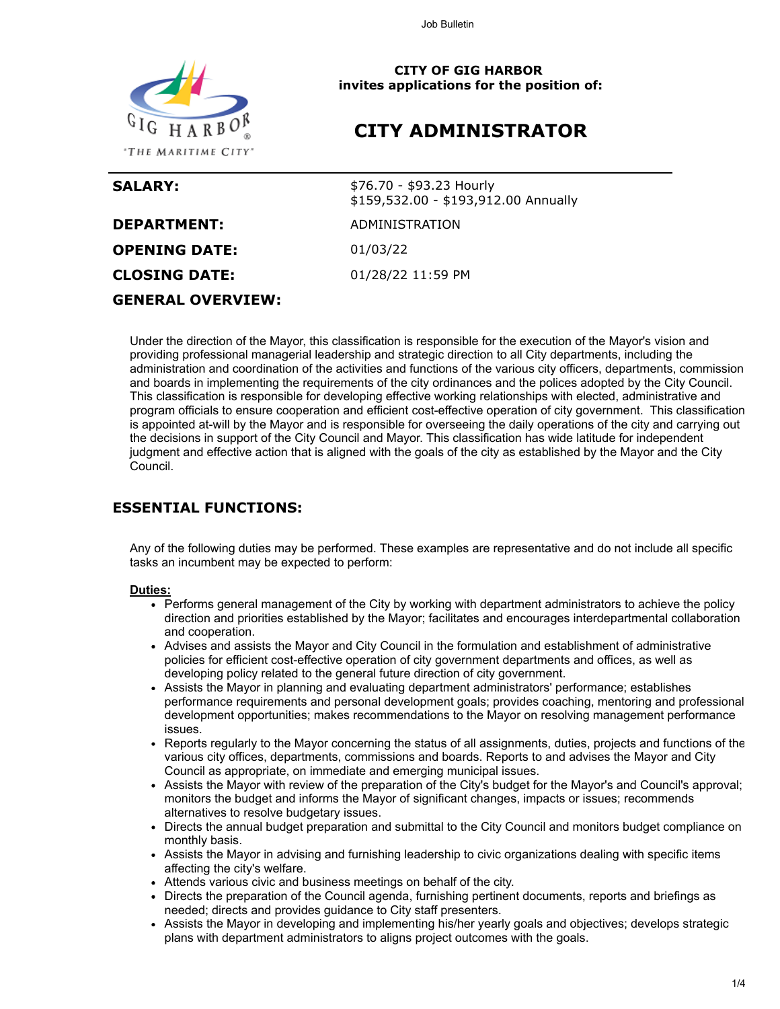Job Bulletin



**CITY OF GIG HARBOR invites applications for the position of:**

# **CITY ADMINISTRATOR**

| <b>SALARY:</b>           | \$76.70 - \$93.23 Hourly<br>\$159,532.00 - \$193,912.00 Annually |
|--------------------------|------------------------------------------------------------------|
| <b>DEPARTMENT:</b>       | ADMINISTRATION                                                   |
| <b>OPENING DATE:</b>     | 01/03/22                                                         |
| <b>CLOSING DATE:</b>     | 01/28/22 11:59 PM                                                |
| <b>GENERAL OVERVIEW:</b> |                                                                  |

Under the direction of the Mayor, this classification is responsible for the execution of the Mayor's vision and providing professional managerial leadership and strategic direction to all City departments, including the administration and coordination of the activities and functions of the various city officers, departments, commission and boards in implementing the requirements of the city ordinances and the polices adopted by the City Council. This classification is responsible for developing effective working relationships with elected, administrative and program officials to ensure cooperation and efficient cost-effective operation of city government. This classification is appointed at-will by the Mayor and is responsible for overseeing the daily operations of the city and carrying out the decisions in support of the City Council and Mayor. This classification has wide latitude for independent judgment and effective action that is aligned with the goals of the city as established by the Mayor and the City Council.

## **ESSENTIAL FUNCTIONS:**

Any of the following duties may be performed. These examples are representative and do not include all specific tasks an incumbent may be expected to perform:

#### **Duties:**

- Performs general management of the City by working with department administrators to achieve the policy direction and priorities established by the Mayor; facilitates and encourages interdepartmental collaboration and cooperation.
- Advises and assists the Mayor and City Council in the formulation and establishment of administrative policies for efficient cost-effective operation of city government departments and offices, as well as developing policy related to the general future direction of city government.
- Assists the Mayor in planning and evaluating department administrators' performance; establishes performance requirements and personal development goals; provides coaching, mentoring and professional development opportunities; makes recommendations to the Mayor on resolving management performance issues.
- Reports regularly to the Mayor concerning the status of all assignments, duties, projects and functions of the various city offices, departments, commissions and boards. Reports to and advises the Mayor and City Council as appropriate, on immediate and emerging municipal issues.
- Assists the Mayor with review of the preparation of the City's budget for the Mayor's and Council's approval; monitors the budget and informs the Mayor of significant changes, impacts or issues; recommends alternatives to resolve budgetary issues.
- Directs the annual budget preparation and submittal to the City Council and monitors budget compliance on monthly basis.
- Assists the Mayor in advising and furnishing leadership to civic organizations dealing with specific items affecting the city's welfare.
- Attends various civic and business meetings on behalf of the city.
- Directs the preparation of the Council agenda, furnishing pertinent documents, reports and briefings as needed; directs and provides guidance to City staff presenters.
- Assists the Mayor in developing and implementing his/her yearly goals and objectives; develops strategic plans with department administrators to aligns project outcomes with the goals.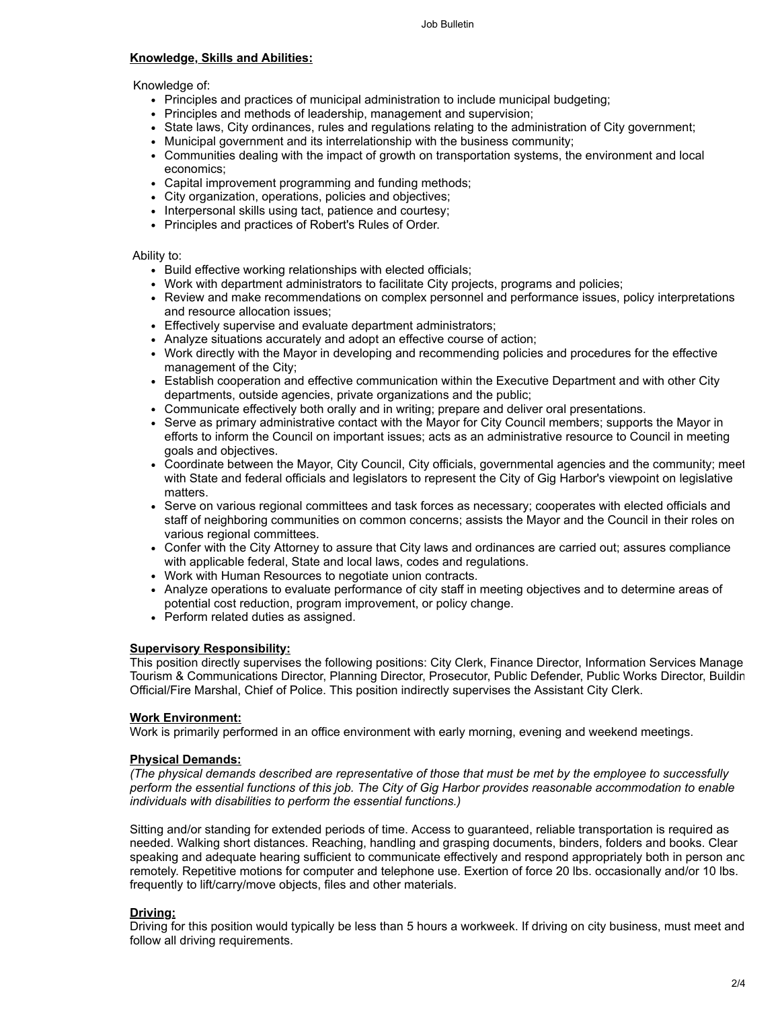#### **Knowledge, Skills and Abilities:**

#### Knowledge of:

- Principles and practices of municipal administration to include municipal budgeting;
- Principles and methods of leadership, management and supervision;
- State laws, City ordinances, rules and regulations relating to the administration of City government;
- Municipal government and its interrelationship with the business community;
- Communities dealing with the impact of growth on transportation systems, the environment and local economics;
- Capital improvement programming and funding methods;
- City organization, operations, policies and objectives;
- Interpersonal skills using tact, patience and courtesy;
- Principles and practices of Robert's Rules of Order.

#### Ability to:

- Build effective working relationships with elected officials;
- Work with department administrators to facilitate City projects, programs and policies;
- Review and make recommendations on complex personnel and performance issues, policy interpretations and resource allocation issues;
- Effectively supervise and evaluate department administrators;
- Analyze situations accurately and adopt an effective course of action;
- Work directly with the Mayor in developing and recommending policies and procedures for the effective management of the City;
- Establish cooperation and effective communication within the Executive Department and with other City departments, outside agencies, private organizations and the public;
- Communicate effectively both orally and in writing; prepare and deliver oral presentations.
- Serve as primary administrative contact with the Mayor for City Council members; supports the Mayor in efforts to inform the Council on important issues; acts as an administrative resource to Council in meeting goals and objectives.
- Coordinate between the Mayor, City Council, City officials, governmental agencies and the community; meet with State and federal officials and legislators to represent the City of Gig Harbor's viewpoint on legislative matters.
- Serve on various regional committees and task forces as necessary; cooperates with elected officials and staff of neighboring communities on common concerns; assists the Mayor and the Council in their roles on various regional committees.
- Confer with the City Attorney to assure that City laws and ordinances are carried out; assures compliance with applicable federal, State and local laws, codes and regulations.
- Work with Human Resources to negotiate union contracts.
- Analyze operations to evaluate performance of city staff in meeting objectives and to determine areas of potential cost reduction, program improvement, or policy change.
- Perform related duties as assigned.

#### **Supervisory Responsibility:**

This position directly supervises the following positions: City Clerk, Finance Director, Information Services Manage Tourism & Communications Director, Planning Director, Prosecutor, Public Defender, Public Works Director, Buildin Official/Fire Marshal, Chief of Police. This position indirectly supervises the Assistant City Clerk.

#### **Work Environment:**

Work is primarily performed in an office environment with early morning, evening and weekend meetings.

#### **Physical Demands:**

*(The physical demands described are representative of those that must be met by the employee to successfully perform the essential functions of this job. The City of Gig Harbor provides reasonable accommodation to enable individuals with disabilities to perform the essential functions.)*

Sitting and/or standing for extended periods of time. Access to guaranteed, reliable transportation is required as needed. Walking short distances. Reaching, handling and grasping documents, binders, folders and books. Clear speaking and adequate hearing sufficient to communicate effectively and respond appropriately both in person and remotely. Repetitive motions for computer and telephone use. Exertion of force 20 lbs. occasionally and/or 10 lbs. frequently to lift/carry/move objects, files and other materials.

#### **Driving:**

Driving for this position would typically be less than 5 hours a workweek. If driving on city business, must meet and follow all driving requirements.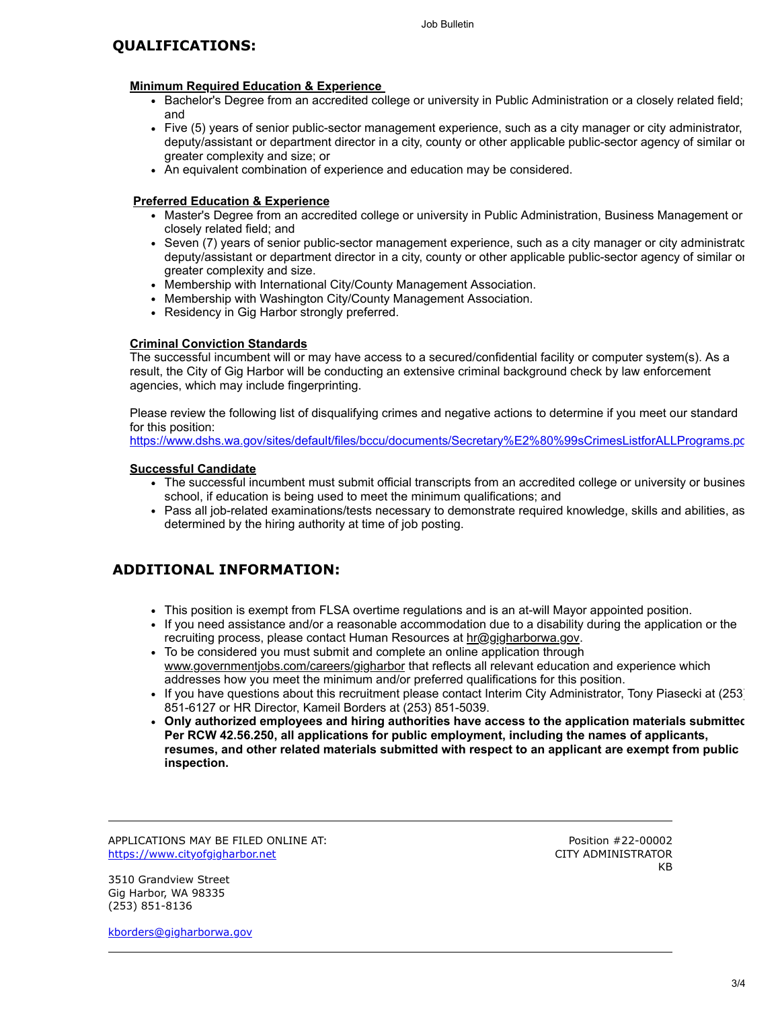#### Job Bulletin

### **QUALIFICATIONS:**

#### **Minimum Required Education & Experience**

- Bachelor's Degree from an accredited college or university in Public Administration or a closely related field; and
- Five (5) years of senior public-sector management experience, such as a city manager or city administrator, deputy/assistant or department director in a city, county or other applicable public-sector agency of similar or greater complexity and size; or
- An equivalent combination of experience and education may be considered.

#### **Preferred Education & Experience**

- Master's Degree from an accredited college or university in Public Administration, Business Management or closely related field; and
- Seven (7) years of senior public-sector management experience, such as a city manager or city administratc deputy/assistant or department director in a city, county or other applicable public-sector agency of similar or greater complexity and size.
- Membership with International City/County Management Association.
- Membership with Washington City/County Management Association.
- Residency in Gig Harbor strongly preferred.

#### **Criminal Conviction Standards**

The successful incumbent will or may have access to a secured/confidential facility or computer system(s). As a result, the City of Gig Harbor will be conducting an extensive criminal background check by law enforcement agencies, which may include fingerprinting.

Please review the following list of disqualifying crimes and negative actions to determine if you meet our standard for this position:

[https://www.dshs.wa.gov/sites/default/files/bccu/documents/Secretary%E2%80%99sCrimesListforALLPrograms.pd](https://www.dshs.wa.gov/sites/default/files/bccu/documents/Secretary%E2%80%99sCrimesListforALLPrograms.pdf)

#### **Successful Candidate**

- The successful incumbent must submit official transcripts from an accredited college or university or busines school, if education is being used to meet the minimum qualifications; and
- Pass all job-related examinations/tests necessary to demonstrate required knowledge, skills and abilities, as determined by the hiring authority at time of job posting.

### **ADDITIONAL INFORMATION:**

- This position is exempt from FLSA overtime regulations and is an at-will Mayor appointed position.
- If you need assistance and/or a reasonable accommodation due to a disability during the application or the recruiting process, please contact Human Resources at [hr@gigharborwa.gov](mailto:hr@gigharborwa.gov).
- To be considered you must submit and complete an online application through [www.governmentjobs.com/careers/gigharbor](https://www.governmentjobs.com/careers/gigharbor) that reflects all relevant education and experience which addresses how you meet the minimum and/or preferred qualifications for this position.
- If you have questions about this recruitment please contact Interim City Administrator, Tony Piasecki at (253) 851-6127 or HR Director, Kameil Borders at (253) 851-5039.
- **Only authorized employees and hiring authorities have access to the application materials submitted Per RCW 42.56.250, all applications for public employment, including the names of applicants, resumes, and other related materials submitted with respect to an applicant are exempt from public inspection.**

APPLICATIONS MAY BE FILED ONLINE AT: [https://www.cityofgigharbor.net](https://www.cityofgigharbor.net/)

Position #22-00002 CITY ADMINISTRATOR **KB** 

3510 Grandview Street Gig Harbor, WA 98335 (253) 851-8136

[kborders@gigharborwa.gov](mailto:kborders@gigharborwa.gov)